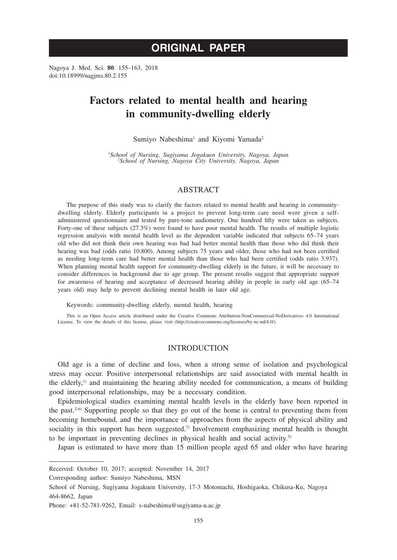# **ORIGINAL PAPER**

Nagoya J. Med. Sci. **80**. 155–163, 2018 doi:10.18999/nagjms.80.2.155

# **Factors related to mental health and hearing in community-dwelling elderly**

#### Sumiyo Nabeshima<sup>1</sup> and Kiyomi Yamada<sup>2</sup>

*1 School of Nursing, Sugiyama Jogakuen University, Nagoya, Japan <sup>2</sup> School of Nursing, Nagoya City University, Nagoya, Japan*

## ABSTRACT

The purpose of this study was to clarify the factors related to mental health and hearing in communitydwelling elderly. Elderly participants in a project to prevent long-term care need were given a selfadministered questionnaire and tested by pure-tone audiometry. One hundred fifty were taken as subjects. Forty-one of these subjects (27.3%) were found to have poor mental health. The results of multiple logistic regression analysis with mental health level as the dependent variable indicated that subjects 65–74 years old who did not think their own hearing was bad had better mental health than those who did think their hearing was bad (odds ratio 10.800). Among subjects 75 years and older, those who had not been certified as needing long-term care had better mental health than those who had been certified (odds ratio 3.937). When planning mental health support for community-dwelling elderly in the future, it will be necessary to consider differences in background due to age group. The present results suggest that appropriate support for awareness of hearing and acceptance of decreased hearing ability in people in early old age (65–74 years old) may help to prevent declining mental health in later old age.

Keywords: community-dwelling elderly, mental health, hearing

This is an Open Access article distributed under the Creative Commons Attribution-NonCommercial-NoDerivatives 4.0 International License. To view the details of this license, please visit (http://creativecommons.org/licenses/by-nc-nd/4.0/).

# INTRODUCTION

Old age is a time of decline and loss, when a strong sense of isolation and psychological stress may occur. Positive interpersonal relationships are said associated with mental health in the elderly,<sup>1)</sup> and maintaining the hearing ability needed for communication, a means of building good interpersonal relationships, may be a necessary condition.

Epidemiological studies examining mental health levels in the elderly have been reported in the past.<sup>2-6)</sup> Supporting people so that they go out of the home is central to preventing them from becoming homebound, and the importance of approaches from the aspects of physical ability and sociality in this support has been suggested.<sup>7)</sup> Involvement emphasizing mental health is thought to be important in preventing declines in physical health and social activity.5)

Japan is estimated to have more than 15 million people aged 65 and older who have hearing

Corresponding author: Sumiyo Nabeshima, MSN

Received: October 10, 2017; accepted: November 14, 2017

School of Nursing, Sugiyama Jogakuen University, 17-3 Motomachi, Hoshigaoka, Chikusa-Ku, Nagoya 464-8662, Japan

Phone: +81-52-781-9262, Email: s-nabeshima@sugiyama-u.ac.jp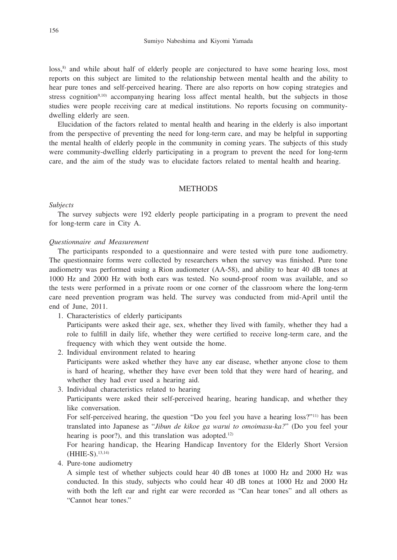loss,<sup>8)</sup> and while about half of elderly people are conjectured to have some hearing loss, most reports on this subject are limited to the relationship between mental health and the ability to hear pure tones and self-perceived hearing. There are also reports on how coping strategies and stress cognition<sup>9,10)</sup> accompanying hearing loss affect mental health, but the subjects in those studies were people receiving care at medical institutions. No reports focusing on communitydwelling elderly are seen.

Elucidation of the factors related to mental health and hearing in the elderly is also important from the perspective of preventing the need for long-term care, and may be helpful in supporting the mental health of elderly people in the community in coming years. The subjects of this study were community-dwelling elderly participating in a program to prevent the need for long-term care, and the aim of the study was to elucidate factors related to mental health and hearing.

## **METHODS**

### *Subjects*

The survey subjects were 192 elderly people participating in a program to prevent the need for long-term care in City A.

# *Questionnaire and Measurement*

The participants responded to a questionnaire and were tested with pure tone audiometry. The questionnaire forms were collected by researchers when the survey was finished. Pure tone audiometry was performed using a Rion audiometer (AA-58), and ability to hear 40 dB tones at 1000 Hz and 2000 Hz with both ears was tested. No sound-proof room was available, and so the tests were performed in a private room or one corner of the classroom where the long-term care need prevention program was held. The survey was conducted from mid-April until the end of June, 2011.

1. Characteristics of elderly participants

 Participants were asked their age, sex, whether they lived with family, whether they had a role to fulfill in daily life, whether they were certified to receive long-term care, and the frequency with which they went outside the home.

2. Individual environment related to hearing

 Participants were asked whether they have any ear disease, whether anyone close to them is hard of hearing, whether they have ever been told that they were hard of hearing, and whether they had ever used a hearing aid.

3. Individual characteristics related to hearing

 Participants were asked their self-perceived hearing, hearing handicap, and whether they like conversation.

For self-perceived hearing, the question "Do you feel you have a hearing loss?"<sup>11)</sup> has been translated into Japanese as "*Jibun de kikoe ga warui to omoimasu-ka?*" (Do you feel your hearing is poor?), and this translation was adopted.<sup>12)</sup>

 For hearing handicap, the Hearing Handicap Inventory for the Elderly Short Version  $(HHIE-S)$ ,  $^{13,14)}$ 

4. Pure-tone audiometry

 A simple test of whether subjects could hear 40 dB tones at 1000 Hz and 2000 Hz was conducted. In this study, subjects who could hear 40 dB tones at 1000 Hz and 2000 Hz with both the left ear and right ear were recorded as "Can hear tones" and all others as "Cannot hear tones."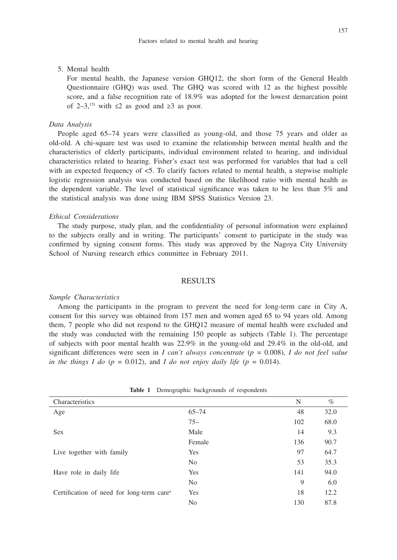## 157

## 5. Mental health

 For mental health, the Japanese version GHQ12, the short form of the General Health Questionnaire (GHQ) was used. The GHQ was scored with 12 as the highest possible score, and a false recognition rate of 18.9% was adopted for the lowest demarcation point of 2–3,<sup>15)</sup> with  $\leq$  2 as good and  $\geq$  3 as poor.

# *Data Analysis*

People aged 65–74 years were classified as young-old, and those 75 years and older as old-old. A chi-square test was used to examine the relationship between mental health and the characteristics of elderly participants, individual environment related to hearing, and individual characteristics related to hearing. Fisher's exact test was performed for variables that had a cell with an expected frequency of <5. To clarify factors related to mental health, a stepwise multiple logistic regression analysis was conducted based on the likelihood ratio with mental health as the dependent variable. The level of statistical significance was taken to be less than 5% and the statistical analysis was done using IBM SPSS Statistics Version 23.

## *Ethical Considerations*

The study purpose, study plan, and the confidentiality of personal information were explained to the subjects orally and in writing. The participants' consent to participate in the study was confirmed by signing consent forms. This study was approved by the Nagoya City University School of Nursing research ethics committee in February 2011.

# RESULTS

#### *Sample Characteristics*

Among the participants in the program to prevent the need for long-term care in City A, consent for this survey was obtained from 157 men and women aged 65 to 94 years old. Among them, 7 people who did not respond to the GHQ12 measure of mental health were excluded and the study was conducted with the remaining 150 people as subjects (Table 1). The percentage of subjects with poor mental health was 22.9% in the young-old and 29.4% in the old-old, and significant differences were seen in *I can't always concentrate* (*p* = 0.008), *I do not feel value in the things I do*  $(p = 0.012)$ , and *I do not enjoy daily life*  $(p = 0.014)$ .

| $\tilde{}$                                            | $\tilde{}$     |     |      |
|-------------------------------------------------------|----------------|-----|------|
| Characteristics                                       |                | N   | $\%$ |
| Age                                                   | $65 - 74$      | 48  | 32.0 |
|                                                       | $75 -$         | 102 | 68.0 |
| <b>Sex</b>                                            | Male           | 14  | 9.3  |
|                                                       | Female         | 136 | 90.7 |
| Live together with family                             | Yes            | 97  | 64.7 |
|                                                       | N <sub>0</sub> | 53  | 35.3 |
| Have role in daily life                               | Yes            | 141 | 94.0 |
|                                                       | N <sub>o</sub> | 9   | 6.0  |
| Certification of need for long-term care <sup>a</sup> | Yes            | 18  | 12.2 |
|                                                       | No             | 130 | 87.8 |

**Table 1** Demographic backgrounds of respondents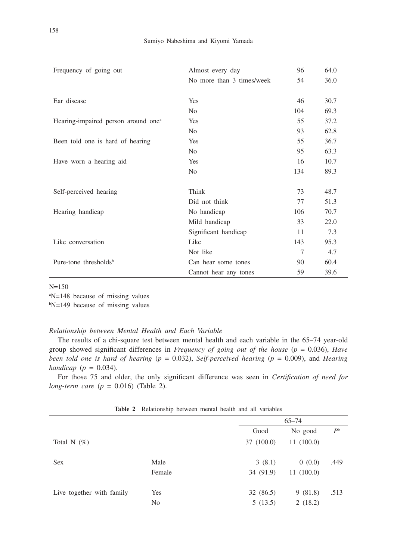| Frequency of going out                          | Almost every day          |     | 64.0 |
|-------------------------------------------------|---------------------------|-----|------|
|                                                 | No more than 3 times/week | 54  | 36.0 |
|                                                 |                           |     |      |
| Ear disease                                     | Yes                       | 46  | 30.7 |
|                                                 | N <sub>0</sub>            | 104 | 69.3 |
| Hearing-impaired person around one <sup>a</sup> | Yes                       | 55  | 37.2 |
|                                                 | N <sub>0</sub>            | 93  | 62.8 |
| Been told one is hard of hearing                | Yes                       | 55  | 36.7 |
|                                                 | N <sub>0</sub>            | 95  | 63.3 |
| Have worn a hearing aid                         | Yes                       | 16  | 10.7 |
|                                                 | N <sub>0</sub>            | 134 | 89.3 |
|                                                 |                           |     |      |
| Self-perceived hearing                          | Think                     | 73  | 48.7 |
|                                                 | Did not think             | 77  | 51.3 |
| Hearing handicap                                | No handicap               | 106 | 70.7 |
|                                                 | Mild handicap             | 33  | 22.0 |
|                                                 | Significant handicap      | 11  | 7.3  |
| Like conversation                               | Like                      | 143 | 95.3 |
|                                                 | Not like                  | 7   | 4.7  |
| Pure-tone thresholds <sup>b</sup>               | Can hear some tones       | 90  | 60.4 |
|                                                 | Cannot hear any tones     | 59  | 39.6 |

#### N=150

a N=148 because of missing values

b N=149 because of missing values

## *Relationship between Mental Health and Each Variable*

The results of a chi-square test between mental health and each variable in the 65–74 year-old group showed significant differences in *Frequency of going out of the house* (*p* = 0.036), *Have been told one is hard of hearing*  $(p = 0.032)$ , *Self-perceived hearing*  $(p = 0.009)$ , and *Hearing handicap* (*p* = 0.034).

For those 75 and older, the only significant difference was seen in *Certification of need for long-term care* (*p* = 0.016) (Table 2).

|                           |        |            | $65 - 74$ |                |  |
|---------------------------|--------|------------|-----------|----------------|--|
|                           |        | Good       | No good   | P <sup>b</sup> |  |
| Total N $(\%)$            |        | 37 (100.0) | 11(100.0) |                |  |
| <b>Sex</b>                | Male   | 3(8.1)     | 0(0.0)    | .449           |  |
|                           | Female | 34 (91.9)  | 11(100.0) |                |  |
| Live together with family | Yes    | 32 (86.5)  | 9(81.8)   | .513           |  |
|                           | No     | 5(13.5)    | 2(18.2)   |                |  |

**Table 2** Relationship between mental health and all variables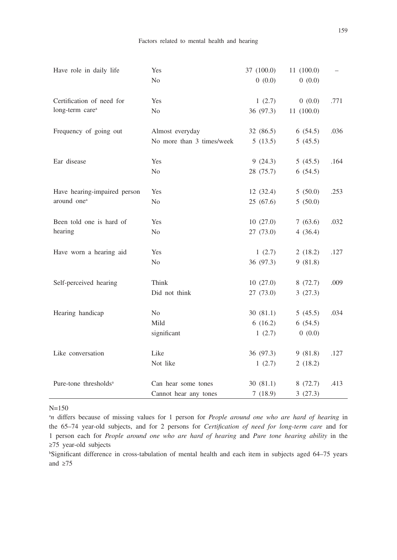| Have role in daily life           | Yes                       | 37 (100.0) | 11(100.0) |      |
|-----------------------------------|---------------------------|------------|-----------|------|
|                                   | N <sub>0</sub>            | 0(0.0)     | 0(0.0)    |      |
| Certification of need for         | Yes                       | 1(2.7)     | 0(0.0)    | .771 |
| long-term care <sup>a</sup>       | N <sub>0</sub>            | 36 (97.3)  | 11(100.0) |      |
| Frequency of going out            | Almost everyday           | 32 (86.5)  | 6(54.5)   | .036 |
|                                   | No more than 3 times/week | 5(13.5)    | 5(45.5)   |      |
| Ear disease                       | Yes                       | 9(24.3)    | 5(45.5)   | .164 |
|                                   | N <sub>o</sub>            | 28 (75.7)  | 6(54.5)   |      |
| Have hearing-impaired person      | Yes                       | 12(32.4)   | 5(50.0)   | .253 |
| around one <sup>a</sup>           | N <sub>0</sub>            | 25(67.6)   | 5(50.0)   |      |
| Been told one is hard of          | Yes                       | 10(27.0)   | 7(63.6)   | .032 |
| hearing                           | No                        | 27 (73.0)  | 4(36.4)   |      |
| Have worn a hearing aid           | Yes                       | 1(2.7)     | 2(18.2)   | .127 |
|                                   | No                        | 36 (97.3)  | 9(81.8)   |      |
| Self-perceived hearing            | Think                     | 10(27.0)   | 8(72.7)   | .009 |
|                                   | Did not think             | 27(73.0)   | 3(27.3)   |      |
| Hearing handicap                  | N <sub>0</sub>            | 30(81.1)   | 5(45.5)   | .034 |
|                                   | Mild                      | 6(16.2)    | 6(54.5)   |      |
|                                   | significant               | 1(2.7)     | 0(0.0)    |      |
| Like conversation                 | Like                      | 36 (97.3)  | 9(81.8)   | .127 |
|                                   | Not like                  | 1(2.7)     | 2(18.2)   |      |
| Pure-tone thresholds <sup>a</sup> | Can hear some tones       | 30(81.1)   | 8(72.7)   | .413 |
|                                   | Cannot hear any tones     | 7(18.9)    | 3(27.3)   |      |
|                                   |                           |            |           |      |

N=150

a *n* differs because of missing values for 1 person for *People around one who are hard of hearing* in the 65–74 year-old subjects, and for 2 persons for *Certification of need for long-term care* and for 1 person each for *People around one who are hard of hearing* and *Pure tone hearing ability* in the ≥75 year-old subjects

b Significant difference in cross-tabulation of mental health and each item in subjects aged 64–75 years and ≥75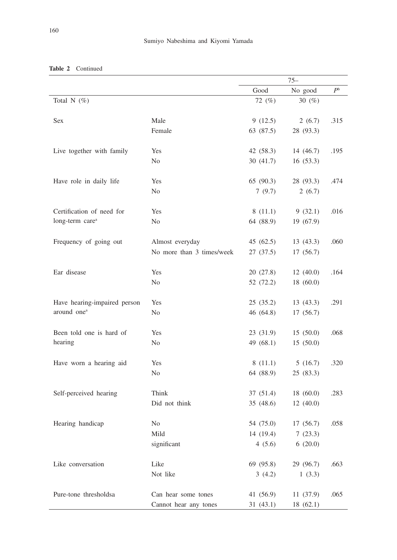|                              |                           | $75 -$      |           |                |
|------------------------------|---------------------------|-------------|-----------|----------------|
|                              |                           | Good        | No good   | P <sup>b</sup> |
| Total N $(\%)$               |                           | 72 (%)      | 30 $(\%)$ |                |
|                              |                           |             |           |                |
| Sex                          | Male                      | 9(12.5)     | 2(6.7)    | .315           |
|                              | Female                    | 63 (87.5)   | 28 (93.3) |                |
|                              |                           |             |           |                |
| Live together with family    | Yes                       | 42 (58.3)   | 14 (46.7) | .195           |
|                              | N <sub>0</sub>            | 30(41.7)    | 16(53.3)  |                |
|                              |                           |             |           |                |
| Have role in daily life      | Yes                       | 65 (90.3)   | 28 (93.3) | .474           |
|                              | N <sub>o</sub>            | 7(9.7)      | 2(6.7)    |                |
|                              |                           |             |           |                |
| Certification of need for    | Yes                       | 8(11.1)     | 9(32.1)   | .016           |
| long-term care <sup>a</sup>  | N <sub>0</sub>            | 64 (88.9)   | 19 (67.9) |                |
| Frequency of going out       | Almost everyday           | 45 (62.5)   | 13(43.3)  | .060           |
|                              | No more than 3 times/week | 27(37.5)    | 17 (56.7) |                |
|                              |                           |             |           |                |
| Ear disease                  | Yes                       | 20 (27.8)   | 12(40.0)  | .164           |
|                              | N <sub>0</sub>            | 52 (72.2)   | 18 (60.0) |                |
|                              |                           |             |           |                |
| Have hearing-impaired person | Yes                       | 25(35.2)    | 13(43.3)  | .291           |
| around one <sup>a</sup>      | N <sub>0</sub>            | 46 (64.8)   | 17 (56.7) |                |
|                              |                           |             |           |                |
| Been told one is hard of     | Yes                       | 23 (31.9)   | 15(50.0)  | .068           |
| hearing                      | N <sub>o</sub>            | 49 $(68.1)$ | 15(50.0)  |                |
|                              |                           |             |           |                |
| Have worn a hearing aid      | Yes                       | 8(11.1)     | 5(16.7)   | .320           |
|                              | N <sub>0</sub>            | 64 (88.9)   | 25 (83.3) |                |
|                              |                           |             |           |                |
| Self-perceived hearing       | Think                     | 37 (51.4)   | 18(60.0)  | .283           |
|                              | Did not think             | 35 (48.6)   | 12(40.0)  |                |
|                              |                           |             |           |                |
| Hearing handicap             | N <sub>0</sub>            | 54 (75.0)   | 17 (56.7) | .058           |
|                              | Mild                      | 14 (19.4)   | 7(23.3)   |                |
|                              | significant               | 4(5.6)      | 6(20.0)   |                |
|                              |                           |             |           |                |
| Like conversation            | Like                      | 69 (95.8)   | 29 (96.7) | .663           |
|                              | Not like                  | 3(4.2)      | 1(3.3)    |                |
|                              |                           |             |           |                |
| Pure-tone thresholdsa        | Can hear some tones       | 41 (56.9)   | 11 (37.9) | .065           |
|                              | Cannot hear any tones     | 31 (43.1)   | 18 (62.1) |                |

# **Table 2** Continued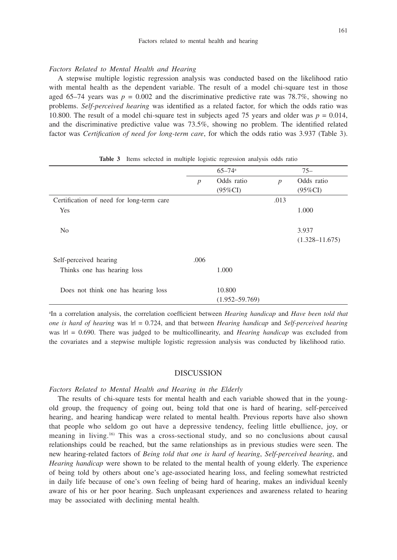#### *Factors Related to Mental Health and Hearing*

A stepwise multiple logistic regression analysis was conducted based on the likelihood ratio with mental health as the dependent variable. The result of a model chi-square test in those aged 65–74 years was  $p = 0.002$  and the discriminative predictive rate was 78.7%, showing no problems. *Self-perceived hearing* was identified as a related factor, for which the odds ratio was 10.800. The result of a model chi-square test in subjects aged 75 years and older was *p* = 0.014, and the discriminative predictive value was 73.5%, showing no problem. The identified related factor was *Certification of need for long-term care*, for which the odds ratio was 3.937 (Table 3).

|                                          |                  | $65 - 74$ <sup>a</sup> |                  | $75 -$             |
|------------------------------------------|------------------|------------------------|------------------|--------------------|
|                                          | $\boldsymbol{p}$ | Odds ratio             | $\boldsymbol{p}$ | Odds ratio         |
|                                          |                  | $(95\%CI)$             |                  | $(95\%CI)$         |
| Certification of need for long-term care |                  |                        | .013             |                    |
| Yes                                      |                  |                        |                  | 1.000              |
| N <sub>0</sub>                           |                  |                        |                  | 3.937              |
|                                          |                  |                        |                  | $(1.328 - 11.675)$ |
| Self-perceived hearing                   | .006             |                        |                  |                    |
| Thinks one has hearing loss              |                  | 1.000                  |                  |                    |
| Does not think one has hearing loss      |                  | 10.800                 |                  |                    |
|                                          |                  | $(1.952 - 59.769)$     |                  |                    |

**Table 3** Items selected in multiple logistic regression analysis odds ratio

a In a correlation analysis, the correlation coefficient between *Hearing handicap* and *Have been told that one is hard of hearing* was |r| = 0.724, and that between *Hearing handicap* and *Self-perceived hearing* was  $|r| = 0.690$ . There was judged to be multicollinearity, and *Hearing handicap* was excluded from the covariates and a stepwise multiple logistic regression analysis was conducted by likelihood ratio.

#### DISCUSSION

#### *Factors Related to Mental Health and Hearing in the Elderly*

The results of chi-square tests for mental health and each variable showed that in the youngold group, the frequency of going out, being told that one is hard of hearing, self-perceived hearing, and hearing handicap were related to mental health. Previous reports have also shown that people who seldom go out have a depressive tendency, feeling little ebullience, joy, or meaning in living.16) This was a cross-sectional study, and so no conclusions about causal relationships could be reached, but the same relationships as in previous studies were seen. The new hearing-related factors of *Being told that one is hard of hearing*, *Self-perceived hearing*, and *Hearing handicap* were shown to be related to the mental health of young elderly. The experience of being told by others about one's age-associated hearing loss, and feeling somewhat restricted in daily life because of one's own feeling of being hard of hearing, makes an individual keenly aware of his or her poor hearing. Such unpleasant experiences and awareness related to hearing may be associated with declining mental health.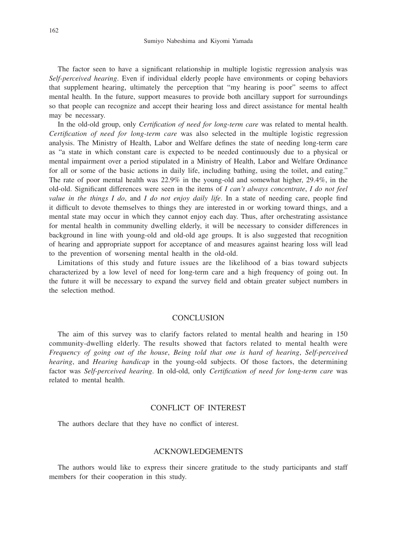The factor seen to have a significant relationship in multiple logistic regression analysis was *Self-perceived hearing*. Even if individual elderly people have environments or coping behaviors that supplement hearing, ultimately the perception that "my hearing is poor" seems to affect mental health. In the future, support measures to provide both ancillary support for surroundings so that people can recognize and accept their hearing loss and direct assistance for mental health may be necessary.

In the old-old group, only *Certification of need for long-term care* was related to mental health. *Certification of need for long-term care* was also selected in the multiple logistic regression analysis. The Ministry of Health, Labor and Welfare defines the state of needing long-term care as "a state in which constant care is expected to be needed continuously due to a physical or mental impairment over a period stipulated in a Ministry of Health, Labor and Welfare Ordinance for all or some of the basic actions in daily life, including bathing, using the toilet, and eating." The rate of poor mental health was 22.9% in the young-old and somewhat higher, 29.4%, in the old-old. Significant differences were seen in the items of *I can't always concentrate*, *I do not feel value in the things I do*, and *I do not enjoy daily life*. In a state of needing care, people find it difficult to devote themselves to things they are interested in or working toward things, and a mental state may occur in which they cannot enjoy each day. Thus, after orchestrating assistance for mental health in community dwelling elderly, it will be necessary to consider differences in background in line with young-old and old-old age groups. It is also suggested that recognition of hearing and appropriate support for acceptance of and measures against hearing loss will lead to the prevention of worsening mental health in the old-old.

Limitations of this study and future issues are the likelihood of a bias toward subjects characterized by a low level of need for long-term care and a high frequency of going out. In the future it will be necessary to expand the survey field and obtain greater subject numbers in the selection method.

# **CONCLUSION**

The aim of this survey was to clarify factors related to mental health and hearing in 150 community-dwelling elderly. The results showed that factors related to mental health were *Frequency of going out of the house*, *Being told that one is hard of hearing*, *Self-perceived hearing*, and *Hearing handicap* in the young-old subjects. Of those factors, the determining factor was *Self-perceived hearing*. In old-old, only *Certification of need for long-term care* was related to mental health.

# CONFLICT OF INTEREST

The authors declare that they have no conflict of interest.

# ACKNOWLEDGEMENTS

The authors would like to express their sincere gratitude to the study participants and staff members for their cooperation in this study.